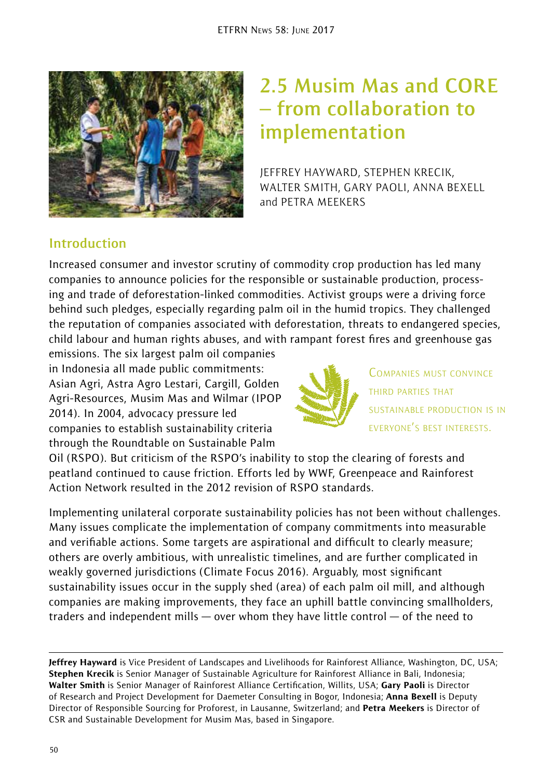

# **2.5 Musim Mas and CORE – from collaboration to implementation**

JEFFREY HAYWARD, STEPHEN KRECIK, WALTER SMITH, GARY PAOLI, ANNA BEXELL and PETRA MEEKERS

# **Introduction**

Increased consumer and investor scrutiny of commodity crop production has led many companies to announce policies for the responsible or sustainable production, processing and trade of deforestation-linked commodities. Activist groups were a driving force behind such pledges, especially regarding palm oil in the humid tropics. They challenged the reputation of companies associated with deforestation, threats to endangered species, child labour and human rights abuses, and with rampant forest fires and greenhouse gas

emissions. The six largest palm oil companies in Indonesia all made public commitments: Asian Agri, Astra Agro Lestari, Cargill, Golden Agri-Resources, Musim Mas and Wilmar (IPOP 2014). In 2004, advocacy pressure led companies to establish sustainability criteria through the Roundtable on Sustainable Palm



COMPANIES MUST CONVINCE THIRD PARTIES THAT SUSTAINABLE PRODUCTION IS IN EVERYONE'S BEST INTERESTS.

Oil (RSPO). But criticism of the RSPO's inability to stop the clearing of forests and peatland continued to cause friction. Efforts led by WWF, Greenpeace and Rainforest Action Network resulted in the 2012 revision of RSPO standards.

Implementing unilateral corporate sustainability policies has not been without challenges. Many issues complicate the implementation of company commitments into measurable and verifiable actions. Some targets are aspirational and difficult to clearly measure; others are overly ambitious, with unrealistic timelines, and are further complicated in weakly governed jurisdictions (Climate Focus 2016). Arguably, most significant sustainability issues occur in the supply shed (area) of each palm oil mill, and although companies are making improvements, they face an uphill battle convincing smallholders, traders and independent mills — over whom they have little control — of the need to

Jeffrey Hayward is Vice President of Landscapes and Livelihoods for Rainforest Alliance, Washington, DC, USA; Stephen Krecik is Senior Manager of Sustainable Agriculture for Rainforest Alliance in Bali, Indonesia; Walter Smith is Senior Manager of Rainforest Alliance Certification, Willits, USA; Gary Paoli is Director of Research and Project Development for Daemeter Consulting in Bogor, Indonesia; Anna Bexell is Deputy Director of Responsible Sourcing for Proforest, in Lausanne, Switzerland; and Petra Meekers is Director of CSR and Sustainable Development for Musim Mas, based in Singapore.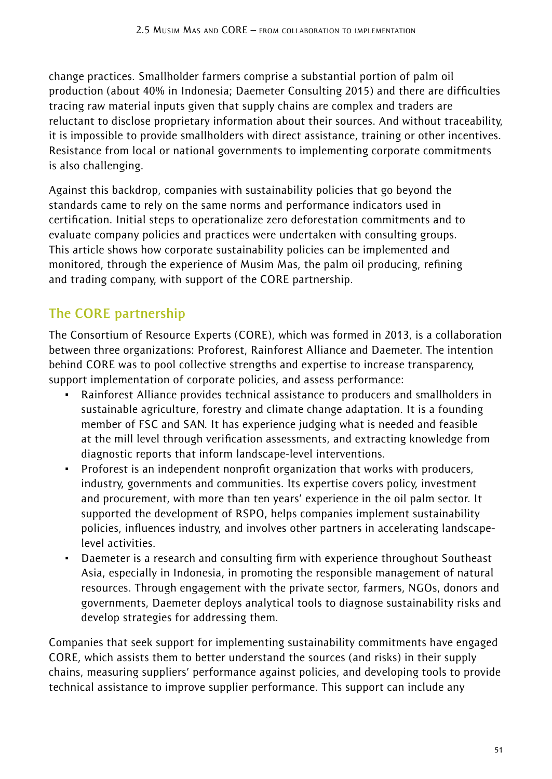change practices. Smallholder farmers comprise a substantial portion of palm oil production (about 40% in Indonesia; Daemeter Consulting 2015) and there are difficulties tracing raw material inputs given that supply chains are complex and traders are reluctant to disclose proprietary information about their sources. And without traceability, it is impossible to provide smallholders with direct assistance, training or other incentives. Resistance from local or national governments to implementing corporate commitments is also challenging.

Against this backdrop, companies with sustainability policies that go beyond the standards came to rely on the same norms and performance indicators used in certification. Initial steps to operationalize zero deforestation commitments and to evaluate company policies and practices were undertaken with consulting groups. This article shows how corporate sustainability policies can be implemented and monitored, through the experience of Musim Mas, the palm oil producing, refining and trading company, with support of the CORE partnership.

### **The CORE partnership**

The Consortium of Resource Experts (CORE), which was formed in 2013, is a collaboration between three organizations: Proforest, Rainforest Alliance and Daemeter. The intention behind CORE was to pool collective strengths and expertise to increase transparency, support implementation of corporate policies, and assess performance:

- Rainforest Alliance provides technical assistance to producers and smallholders in sustainable agriculture, forestry and climate change adaptation. It is a founding member of FSC and SAN. It has experience judging what is needed and feasible at the mill level through verification assessments, and extracting knowledge from diagnostic reports that inform landscape-level interventions.
- ~ Proforest is an independent nonprofit organization that works with producers, industry, governments and communities. Its expertise covers policy, investment and procurement, with more than ten years' experience in the oil palm sector. It supported the development of RSPO, helps companies implement sustainability policies, influences industry, and involves other partners in accelerating landscapelevel activities.
- ~ Daemeter is a research and consulting firm with experience throughout Southeast Asia, especially in Indonesia, in promoting the responsible management of natural resources. Through engagement with the private sector, farmers, NGOs, donors and governments, Daemeter deploys analytical tools to diagnose sustainability risks and develop strategies for addressing them.

Companies that seek support for implementing sustainability commitments have engaged CORE, which assists them to better understand the sources (and risks) in their supply chains, measuring suppliers' performance against policies, and developing tools to provide technical assistance to improve supplier performance. This support can include any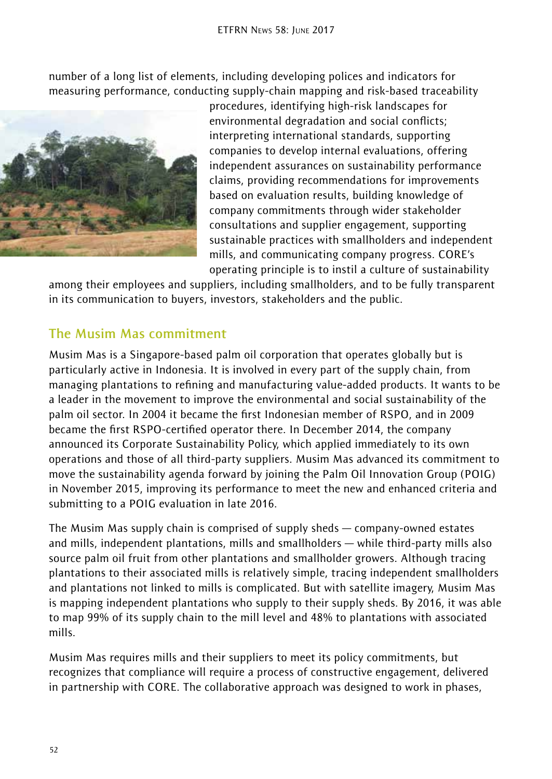number of a long list of elements, including developing polices and indicators for measuring performance, conducting supply-chain mapping and risk-based traceability



procedures, identifying high-risk landscapes for environmental degradation and social conflicts; interpreting international standards, supporting companies to develop internal evaluations, offering independent assurances on sustainability performance claims, providing recommendations for improvements based on evaluation results, building knowledge of company commitments through wider stakeholder consultations and supplier engagement, supporting sustainable practices with smallholders and independent mills, and communicating company progress. CORE's operating principle is to instil a culture of sustainability

among their employees and suppliers, including smallholders, and to be fully transparent in its communication to buyers, investors, stakeholders and the public.

#### **The Musim Mas commitment**

Musim Mas is a Singapore-based palm oil corporation that operates globally but is particularly active in Indonesia. It is involved in every part of the supply chain, from managing plantations to refining and manufacturing value-added products. It wants to be a leader in the movement to improve the environmental and social sustainability of the palm oil sector. In 2004 it became the first Indonesian member of RSPO, and in 2009 became the first RSPO-certified operator there. In December 2014, the company announced its Corporate Sustainability Policy, which applied immediately to its own operations and those of all third-party suppliers. Musim Mas advanced its commitment to move the sustainability agenda forward by joining the Palm Oil Innovation Group (POIG) in November 2015, improving its performance to meet the new and enhanced criteria and submitting to a POIG evaluation in late 2016.

The Musim Mas supply chain is comprised of supply sheds — company-owned estates and mills, independent plantations, mills and smallholders — while third-party mills also source palm oil fruit from other plantations and smallholder growers. Although tracing plantations to their associated mills is relatively simple, tracing independent smallholders and plantations not linked to mills is complicated. But with satellite imagery, Musim Mas is mapping independent plantations who supply to their supply sheds. By 2016, it was able to map 99% of its supply chain to the mill level and 48% to plantations with associated mills.

Musim Mas requires mills and their suppliers to meet its policy commitments, but recognizes that compliance will require a process of constructive engagement, delivered in partnership with CORE. The collaborative approach was designed to work in phases,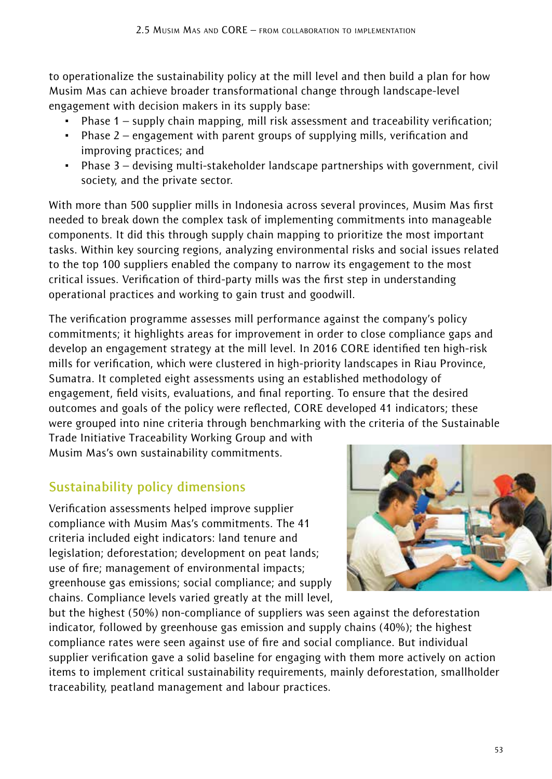to operationalize the sustainability policy at the mill level and then build a plan for how Musim Mas can achieve broader transformational change through landscape-level engagement with decision makers in its supply base:

- Phase  $1$  supply chain mapping, mill risk assessment and traceability verification;
- ~ Phase 2 engagement with parent groups of supplying mills, verification and improving practices; and
- ~ Phase 3 devising multi-stakeholder landscape partnerships with government, civil society, and the private sector.

With more than 500 supplier mills in Indonesia across several provinces, Musim Mas first needed to break down the complex task of implementing commitments into manageable components. It did this through supply chain mapping to prioritize the most important tasks. Within key sourcing regions, analyzing environmental risks and social issues related to the top 100 suppliers enabled the company to narrow its engagement to the most critical issues. Verification of third-party mills was the first step in understanding operational practices and working to gain trust and goodwill.

The verification programme assesses mill performance against the company's policy commitments; it highlights areas for improvement in order to close compliance gaps and develop an engagement strategy at the mill level. In 2016 CORE identified ten high-risk mills for verification, which were clustered in high-priority landscapes in Riau Province, Sumatra. It completed eight assessments using an established methodology of engagement, field visits, evaluations, and final reporting. To ensure that the desired outcomes and goals of the policy were reflected, CORE developed 41 indicators; these were grouped into nine criteria through benchmarking with the criteria of the Sustainable

Trade Initiative Traceability Working Group and with Musim Mas's own sustainability commitments.

## **Sustainability policy dimensions**

Verification assessments helped improve supplier compliance with Musim Mas's commitments. The 41 criteria included eight indicators: land tenure and legislation; deforestation; development on peat lands; use of fire; management of environmental impacts; greenhouse gas emissions; social compliance; and supply chains. Compliance levels varied greatly at the mill level,



but the highest (50%) non-compliance of suppliers was seen against the deforestation indicator, followed by greenhouse gas emission and supply chains (40%); the highest compliance rates were seen against use of fire and social compliance. But individual supplier verification gave a solid baseline for engaging with them more actively on action items to implement critical sustainability requirements, mainly deforestation, smallholder traceability, peatland management and labour practices.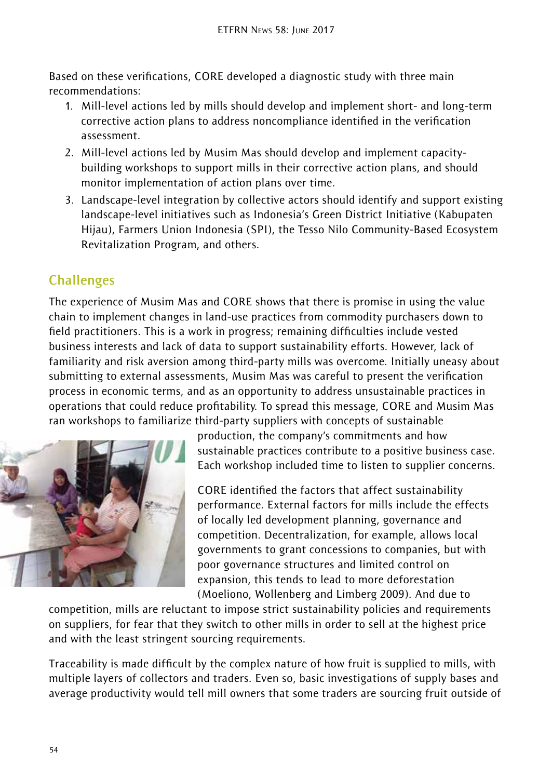Based on these verifications, CORE developed a diagnostic study with three main recommendations:

- 1. Mill-level actions led by mills should develop and implement short- and long-term corrective action plans to address noncompliance identified in the verification assessment.
- 2. Mill-level actions led by Musim Mas should develop and implement capacitybuilding workshops to support mills in their corrective action plans, and should monitor implementation of action plans over time.
- 3. Landscape-level integration by collective actors should identify and support existing landscape-level initiatives such as Indonesia's Green District Initiative (Kabupaten Hijau), Farmers Union Indonesia (SPI), the Tesso Nilo Community-Based Ecosystem Revitalization Program, and others.

## **Challenges**

The experience of Musim Mas and CORE shows that there is promise in using the value chain to implement changes in land-use practices from commodity purchasers down to field practitioners. This is a work in progress; remaining difficulties include vested business interests and lack of data to support sustainability efforts. However, lack of familiarity and risk aversion among third-party mills was overcome. Initially uneasy about submitting to external assessments, Musim Mas was careful to present the verification process in economic terms, and as an opportunity to address unsustainable practices in operations that could reduce profitability. To spread this message, CORE and Musim Mas ran workshops to familiarize third-party suppliers with concepts of sustainable



production, the company's commitments and how sustainable practices contribute to a positive business case. Each workshop included time to listen to supplier concerns.

CORE identified the factors that affect sustainability performance. External factors for mills include the effects of locally led development planning, governance and competition. Decentralization, for example, allows local governments to grant concessions to companies, but with poor governance structures and limited control on expansion, this tends to lead to more deforestation (Moeliono, Wollenberg and Limberg 2009). And due to

competition, mills are reluctant to impose strict sustainability policies and requirements on suppliers, for fear that they switch to other mills in order to sell at the highest price and with the least stringent sourcing requirements.

Traceability is made difficult by the complex nature of how fruit is supplied to mills, with multiple layers of collectors and traders. Even so, basic investigations of supply bases and average productivity would tell mill owners that some traders are sourcing fruit outside of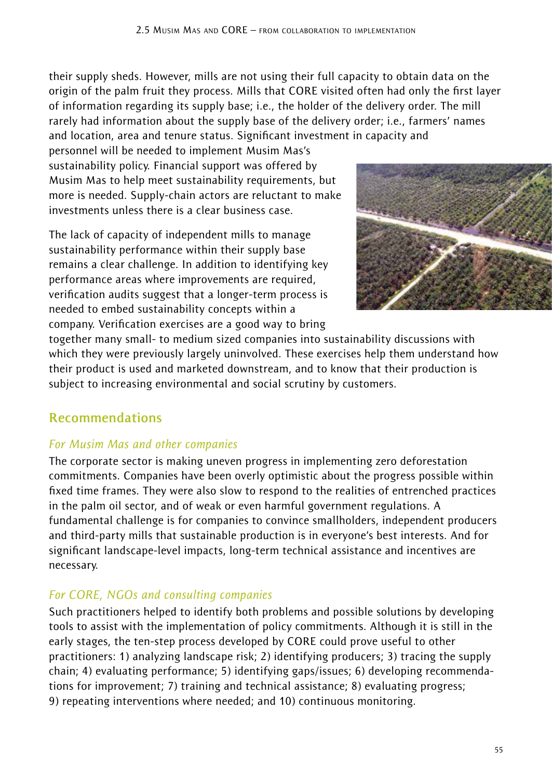their supply sheds. However, mills are not using their full capacity to obtain data on the origin of the palm fruit they process. Mills that CORE visited often had only the first layer of information regarding its supply base; i.e., the holder of the delivery order. The mill rarely had information about the supply base of the delivery order; i.e., farmers' names and location, area and tenure status. Significant investment in capacity and

personnel will be needed to implement Musim Mas's sustainability policy. Financial support was offered by Musim Mas to help meet sustainability requirements, but more is needed. Supply-chain actors are reluctant to make investments unless there is a clear business case.

The lack of capacity of independent mills to manage sustainability performance within their supply base remains a clear challenge. In addition to identifying key performance areas where improvements are required, verification audits suggest that a longer-term process is needed to embed sustainability concepts within a company. Verification exercises are a good way to bring



together many small- to medium sized companies into sustainability discussions with which they were previously largely uninvolved. These exercises help them understand how their product is used and marketed downstream, and to know that their production is subject to increasing environmental and social scrutiny by customers.

## **Recommendations**

#### *For Musim Mas and other companies*

The corporate sector is making uneven progress in implementing zero deforestation commitments. Companies have been overly optimistic about the progress possible within fixed time frames. They were also slow to respond to the realities of entrenched practices in the palm oil sector, and of weak or even harmful government regulations. A fundamental challenge is for companies to convince smallholders, independent producers and third-party mills that sustainable production is in everyone's best interests. And for significant landscape-level impacts, long-term technical assistance and incentives are necessary.

#### *For CORE, NGOs and consulting companies*

Such practitioners helped to identify both problems and possible solutions by developing tools to assist with the implementation of policy commitments. Although it is still in the early stages, the ten-step process developed by CORE could prove useful to other practitioners: 1) analyzing landscape risk; 2) identifying producers; 3) tracing the supply chain; 4) evaluating performance; 5) identifying gaps/issues; 6) developing recommendations for improvement; 7) training and technical assistance; 8) evaluating progress; 9) repeating interventions where needed; and 10) continuous monitoring.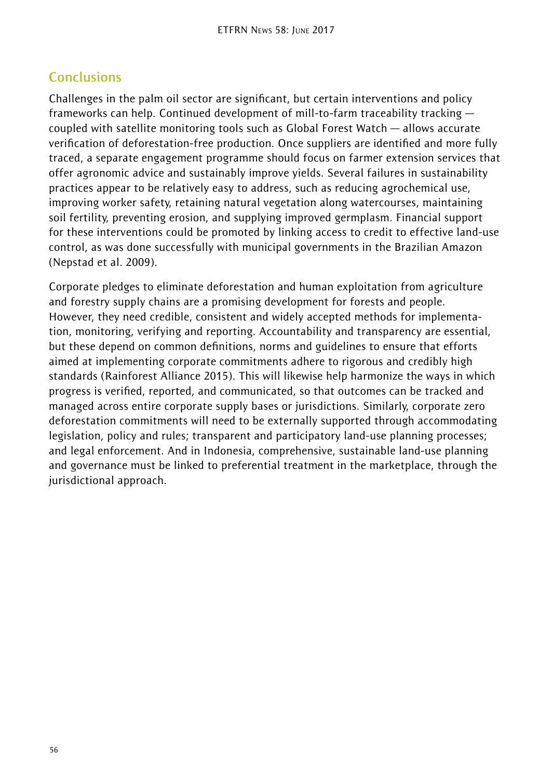# **Conclusions**

Challenges in the palm oil sector are significant, but certain interventions and policy frameworks can help. Continued development of mill-to-farm traceability tracking coupled with satellite monitoring tools such as Global Forest Watch — allows accurate verification of deforestation-free production. Once suppliers are identified and more fully traced, a separate engagement programme should focus on farmer extension services that offer agronomic advice and sustainably improve yields. Several failures in sustainability practices appear to be relatively easy to address, such as reducing agrochemical use, improving worker safety, retaining natural vegetation along watercourses, maintaining soil fertility, preventing erosion, and supplying improved germplasm. Financial support for these interventions could be promoted by linking access to credit to effective land-use control, as was done successfully with municipal governments in the Brazilian Amazon (Nepstad et al. 2009).

Corporate pledges to eliminate deforestation and human exploitation from agriculture and forestry supply chains are a promising development for forests and people. However, they need credible, consistent and widely accepted methods for implementation, monitoring, verifying and reporting. Accountability and transparency are essential, but these depend on common definitions, norms and guidelines to ensure that efforts aimed at implementing corporate commitments adhere to rigorous and credibly high standards (Rainforest Alliance 2015). This will likewise help harmonize the ways in which progress is verified, reported, and communicated, so that outcomes can be tracked and managed across entire corporate supply bases or jurisdictions. Similarly, corporate zero deforestation commitments will need to be externally supported through accommodating legislation, policy and rules; transparent and participatory land-use planning processes; and legal enforcement. And in Indonesia, comprehensive, sustainable land-use planning and governance must be linked to preferential treatment in the marketplace, through the jurisdictional approach.